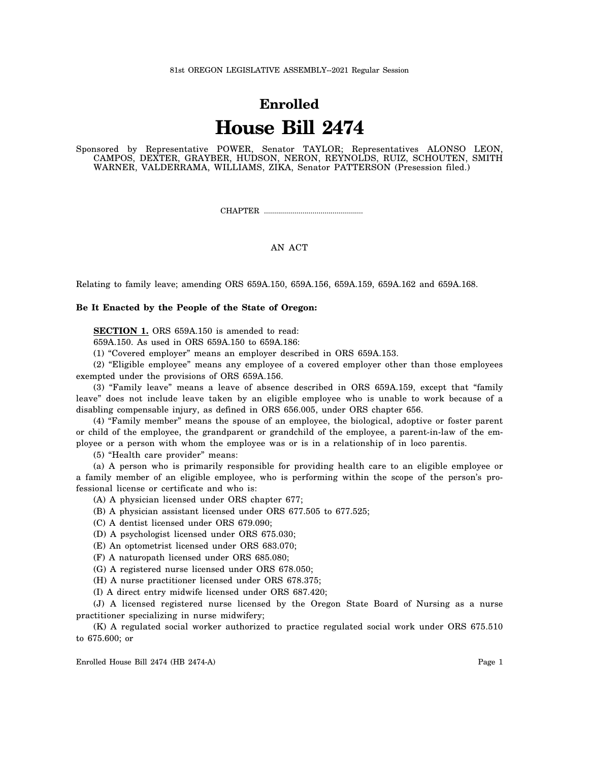#### 81st OREGON LEGISLATIVE ASSEMBLY--2021 Regular Session

# **Enrolled House Bill 2474**

Sponsored by Representative POWER, Senator TAYLOR; Representatives ALONSO LEON, CAMPOS, DEXTER, GRAYBER, HUDSON, NERON, REYNOLDS, RUIZ, SCHOUTEN, SMITH WARNER, VALDERRAMA, WILLIAMS, ZIKA, Senator PATTERSON (Presession filed.)

CHAPTER .................................................

### AN ACT

Relating to family leave; amending ORS 659A.150, 659A.156, 659A.159, 659A.162 and 659A.168.

#### **Be It Enacted by the People of the State of Oregon:**

**SECTION 1.** ORS 659A.150 is amended to read:

659A.150. As used in ORS 659A.150 to 659A.186:

(1) "Covered employer" means an employer described in ORS 659A.153.

(2) "Eligible employee" means any employee of a covered employer other than those employees exempted under the provisions of ORS 659A.156.

(3) "Family leave" means a leave of absence described in ORS 659A.159, except that "family leave" does not include leave taken by an eligible employee who is unable to work because of a disabling compensable injury, as defined in ORS 656.005, under ORS chapter 656.

(4) "Family member" means the spouse of an employee, the biological, adoptive or foster parent or child of the employee, the grandparent or grandchild of the employee, a parent-in-law of the employee or a person with whom the employee was or is in a relationship of in loco parentis.

(5) "Health care provider" means:

(a) A person who is primarily responsible for providing health care to an eligible employee or a family member of an eligible employee, who is performing within the scope of the person's professional license or certificate and who is:

(A) A physician licensed under ORS chapter 677;

(B) A physician assistant licensed under ORS 677.505 to 677.525;

(C) A dentist licensed under ORS 679.090;

(D) A psychologist licensed under ORS 675.030;

(E) An optometrist licensed under ORS 683.070;

(F) A naturopath licensed under ORS 685.080;

(G) A registered nurse licensed under ORS 678.050;

(H) A nurse practitioner licensed under ORS 678.375;

(I) A direct entry midwife licensed under ORS 687.420;

(J) A licensed registered nurse licensed by the Oregon State Board of Nursing as a nurse practitioner specializing in nurse midwifery;

(K) A regulated social worker authorized to practice regulated social work under ORS 675.510 to 675.600; or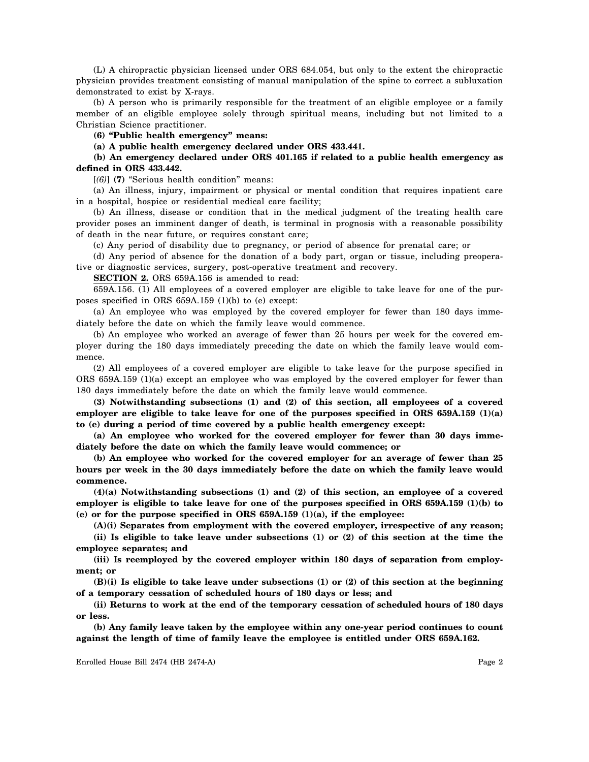(L) A chiropractic physician licensed under ORS 684.054, but only to the extent the chiropractic physician provides treatment consisting of manual manipulation of the spine to correct a subluxation demonstrated to exist by X-rays.

(b) A person who is primarily responsible for the treatment of an eligible employee or a family member of an eligible employee solely through spiritual means, including but not limited to a Christian Science practitioner.

**(6) "Public health emergency" means:**

**(a) A public health emergency declared under ORS 433.441.**

## **(b) An emergency declared under ORS 401.165 if related to a public health emergency as defined in ORS 433.442.**

[*(6)*] **(7)** "Serious health condition" means:

(a) An illness, injury, impairment or physical or mental condition that requires inpatient care in a hospital, hospice or residential medical care facility;

(b) An illness, disease or condition that in the medical judgment of the treating health care provider poses an imminent danger of death, is terminal in prognosis with a reasonable possibility of death in the near future, or requires constant care;

(c) Any period of disability due to pregnancy, or period of absence for prenatal care; or

(d) Any period of absence for the donation of a body part, organ or tissue, including preoperative or diagnostic services, surgery, post-operative treatment and recovery.

**SECTION 2.** ORS 659A.156 is amended to read:

659A.156. (1) All employees of a covered employer are eligible to take leave for one of the purposes specified in ORS 659A.159 (1)(b) to (e) except:

(a) An employee who was employed by the covered employer for fewer than 180 days immediately before the date on which the family leave would commence.

(b) An employee who worked an average of fewer than 25 hours per week for the covered employer during the 180 days immediately preceding the date on which the family leave would commence.

(2) All employees of a covered employer are eligible to take leave for the purpose specified in ORS 659A.159 (1)(a) except an employee who was employed by the covered employer for fewer than 180 days immediately before the date on which the family leave would commence.

**(3) Notwithstanding subsections (1) and (2) of this section, all employees of a covered employer are eligible to take leave for one of the purposes specified in ORS 659A.159 (1)(a) to (e) during a period of time covered by a public health emergency except:**

**(a) An employee who worked for the covered employer for fewer than 30 days immediately before the date on which the family leave would commence; or**

**(b) An employee who worked for the covered employer for an average of fewer than 25 hours per week in the 30 days immediately before the date on which the family leave would commence.**

**(4)(a) Notwithstanding subsections (1) and (2) of this section, an employee of a covered employer is eligible to take leave for one of the purposes specified in ORS 659A.159 (1)(b) to (e) or for the purpose specified in ORS 659A.159 (1)(a), if the employee:**

**(A)(i) Separates from employment with the covered employer, irrespective of any reason;**

**(ii) Is eligible to take leave under subsections (1) or (2) of this section at the time the employee separates; and**

**(iii) Is reemployed by the covered employer within 180 days of separation from employment; or**

**(B)(i) Is eligible to take leave under subsections (1) or (2) of this section at the beginning of a temporary cessation of scheduled hours of 180 days or less; and**

**(ii) Returns to work at the end of the temporary cessation of scheduled hours of 180 days or less.**

**(b) Any family leave taken by the employee within any one-year period continues to count against the length of time of family leave the employee is entitled under ORS 659A.162.**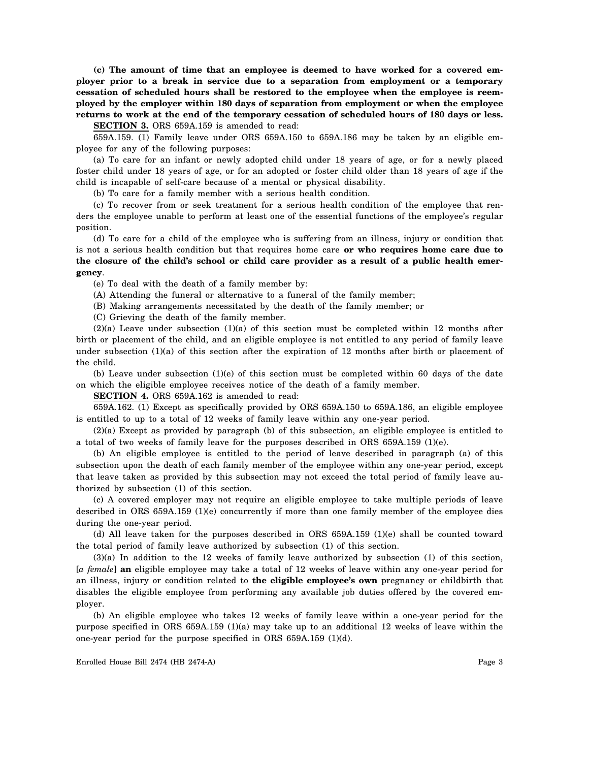**(c) The amount of time that an employee is deemed to have worked for a covered employer prior to a break in service due to a separation from employment or a temporary cessation of scheduled hours shall be restored to the employee when the employee is reemployed by the employer within 180 days of separation from employment or when the employee returns to work at the end of the temporary cessation of scheduled hours of 180 days or less.**

**SECTION 3.** ORS 659A.159 is amended to read:

659A.159. (1) Family leave under ORS 659A.150 to 659A.186 may be taken by an eligible employee for any of the following purposes:

(a) To care for an infant or newly adopted child under 18 years of age, or for a newly placed foster child under 18 years of age, or for an adopted or foster child older than 18 years of age if the child is incapable of self-care because of a mental or physical disability.

(b) To care for a family member with a serious health condition.

(c) To recover from or seek treatment for a serious health condition of the employee that renders the employee unable to perform at least one of the essential functions of the employee's regular position.

(d) To care for a child of the employee who is suffering from an illness, injury or condition that is not a serious health condition but that requires home care **or who requires home care due to the closure of the child's school or child care provider as a result of a public health emergency**.

(e) To deal with the death of a family member by:

(A) Attending the funeral or alternative to a funeral of the family member;

(B) Making arrangements necessitated by the death of the family member; or

(C) Grieving the death of the family member.

 $(2)(a)$  Leave under subsection  $(1)(a)$  of this section must be completed within 12 months after birth or placement of the child, and an eligible employee is not entitled to any period of family leave under subsection  $(1)(a)$  of this section after the expiration of 12 months after birth or placement of the child.

(b) Leave under subsection (1)(e) of this section must be completed within 60 days of the date on which the eligible employee receives notice of the death of a family member.

**SECTION 4.** ORS 659A.162 is amended to read:

659A.162. (1) Except as specifically provided by ORS 659A.150 to 659A.186, an eligible employee is entitled to up to a total of 12 weeks of family leave within any one-year period.

(2)(a) Except as provided by paragraph (b) of this subsection, an eligible employee is entitled to a total of two weeks of family leave for the purposes described in ORS 659A.159 (1)(e).

(b) An eligible employee is entitled to the period of leave described in paragraph (a) of this subsection upon the death of each family member of the employee within any one-year period, except that leave taken as provided by this subsection may not exceed the total period of family leave authorized by subsection (1) of this section.

(c) A covered employer may not require an eligible employee to take multiple periods of leave described in ORS 659A.159 (1)(e) concurrently if more than one family member of the employee dies during the one-year period.

(d) All leave taken for the purposes described in ORS 659A.159 (1)(e) shall be counted toward the total period of family leave authorized by subsection (1) of this section.

(3)(a) In addition to the 12 weeks of family leave authorized by subsection (1) of this section, [*a female*] **an** eligible employee may take a total of 12 weeks of leave within any one-year period for an illness, injury or condition related to **the eligible employee's own** pregnancy or childbirth that disables the eligible employee from performing any available job duties offered by the covered employer.

(b) An eligible employee who takes 12 weeks of family leave within a one-year period for the purpose specified in ORS 659A.159 (1)(a) may take up to an additional 12 weeks of leave within the one-year period for the purpose specified in ORS 659A.159 (1)(d).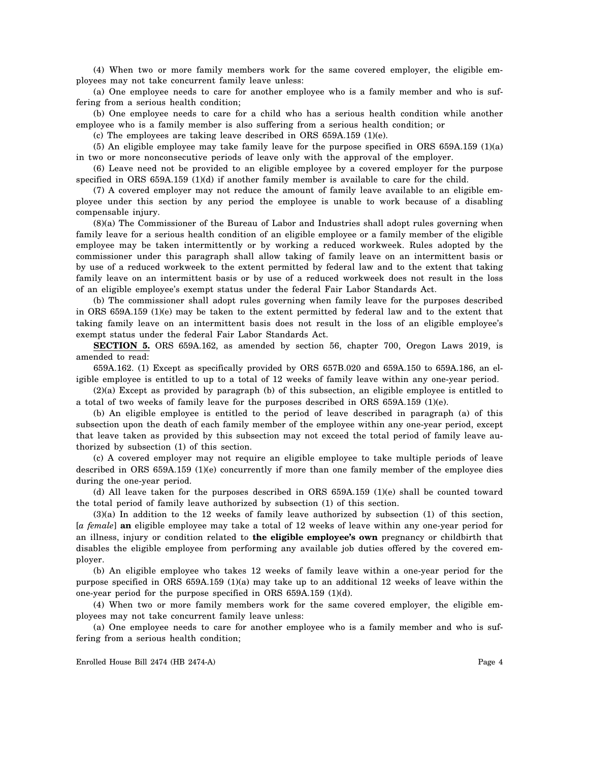(4) When two or more family members work for the same covered employer, the eligible employees may not take concurrent family leave unless:

(a) One employee needs to care for another employee who is a family member and who is suffering from a serious health condition;

(b) One employee needs to care for a child who has a serious health condition while another employee who is a family member is also suffering from a serious health condition; or

(c) The employees are taking leave described in ORS 659A.159 (1)(e).

(5) An eligible employee may take family leave for the purpose specified in ORS 659A.159 (1)(a) in two or more nonconsecutive periods of leave only with the approval of the employer.

(6) Leave need not be provided to an eligible employee by a covered employer for the purpose specified in ORS 659A.159 (1)(d) if another family member is available to care for the child.

(7) A covered employer may not reduce the amount of family leave available to an eligible employee under this section by any period the employee is unable to work because of a disabling compensable injury.

(8)(a) The Commissioner of the Bureau of Labor and Industries shall adopt rules governing when family leave for a serious health condition of an eligible employee or a family member of the eligible employee may be taken intermittently or by working a reduced workweek. Rules adopted by the commissioner under this paragraph shall allow taking of family leave on an intermittent basis or by use of a reduced workweek to the extent permitted by federal law and to the extent that taking family leave on an intermittent basis or by use of a reduced workweek does not result in the loss of an eligible employee's exempt status under the federal Fair Labor Standards Act.

(b) The commissioner shall adopt rules governing when family leave for the purposes described in ORS 659A.159 (1)(e) may be taken to the extent permitted by federal law and to the extent that taking family leave on an intermittent basis does not result in the loss of an eligible employee's exempt status under the federal Fair Labor Standards Act.

**SECTION 5.** ORS 659A.162, as amended by section 56, chapter 700, Oregon Laws 2019, is amended to read:

659A.162. (1) Except as specifically provided by ORS 657B.020 and 659A.150 to 659A.186, an eligible employee is entitled to up to a total of 12 weeks of family leave within any one-year period.

(2)(a) Except as provided by paragraph (b) of this subsection, an eligible employee is entitled to a total of two weeks of family leave for the purposes described in ORS 659A.159 (1)(e).

(b) An eligible employee is entitled to the period of leave described in paragraph (a) of this subsection upon the death of each family member of the employee within any one-year period, except that leave taken as provided by this subsection may not exceed the total period of family leave authorized by subsection (1) of this section.

(c) A covered employer may not require an eligible employee to take multiple periods of leave described in ORS 659A.159 (1)(e) concurrently if more than one family member of the employee dies during the one-year period.

(d) All leave taken for the purposes described in ORS 659A.159 (1)(e) shall be counted toward the total period of family leave authorized by subsection (1) of this section.

(3)(a) In addition to the 12 weeks of family leave authorized by subsection (1) of this section, [*a female*] **an** eligible employee may take a total of 12 weeks of leave within any one-year period for an illness, injury or condition related to **the eligible employee's own** pregnancy or childbirth that disables the eligible employee from performing any available job duties offered by the covered employer.

(b) An eligible employee who takes 12 weeks of family leave within a one-year period for the purpose specified in ORS 659A.159 (1)(a) may take up to an additional 12 weeks of leave within the one-year period for the purpose specified in ORS 659A.159 (1)(d).

(4) When two or more family members work for the same covered employer, the eligible employees may not take concurrent family leave unless:

(a) One employee needs to care for another employee who is a family member and who is suffering from a serious health condition;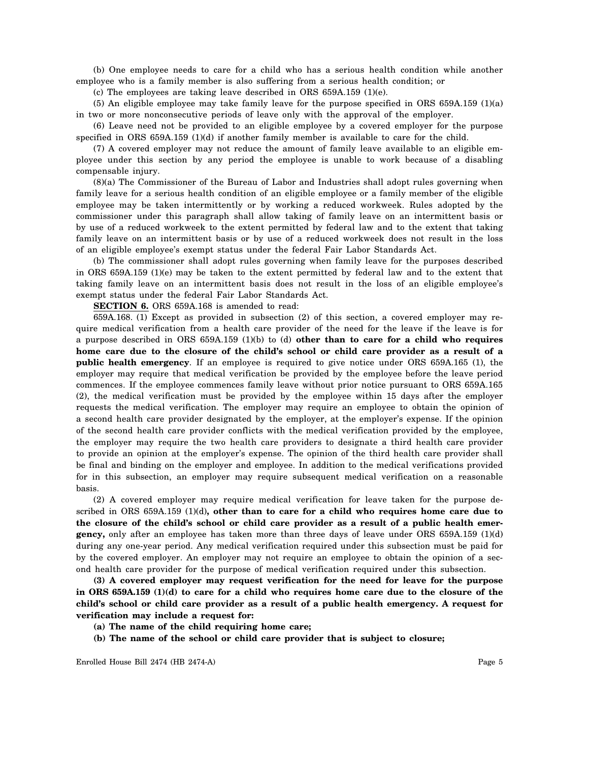(b) One employee needs to care for a child who has a serious health condition while another employee who is a family member is also suffering from a serious health condition; or

(c) The employees are taking leave described in ORS 659A.159 (1)(e).

(5) An eligible employee may take family leave for the purpose specified in ORS 659A.159 (1)(a) in two or more nonconsecutive periods of leave only with the approval of the employer.

(6) Leave need not be provided to an eligible employee by a covered employer for the purpose specified in ORS 659A.159 (1)(d) if another family member is available to care for the child.

(7) A covered employer may not reduce the amount of family leave available to an eligible employee under this section by any period the employee is unable to work because of a disabling compensable injury.

(8)(a) The Commissioner of the Bureau of Labor and Industries shall adopt rules governing when family leave for a serious health condition of an eligible employee or a family member of the eligible employee may be taken intermittently or by working a reduced workweek. Rules adopted by the commissioner under this paragraph shall allow taking of family leave on an intermittent basis or by use of a reduced workweek to the extent permitted by federal law and to the extent that taking family leave on an intermittent basis or by use of a reduced workweek does not result in the loss of an eligible employee's exempt status under the federal Fair Labor Standards Act.

(b) The commissioner shall adopt rules governing when family leave for the purposes described in ORS 659A.159 (1)(e) may be taken to the extent permitted by federal law and to the extent that taking family leave on an intermittent basis does not result in the loss of an eligible employee's exempt status under the federal Fair Labor Standards Act.

**SECTION 6.** ORS 659A.168 is amended to read:

659A.168. (1) Except as provided in subsection (2) of this section, a covered employer may require medical verification from a health care provider of the need for the leave if the leave is for a purpose described in ORS 659A.159 (1)(b) to (d) **other than to care for a child who requires home care due to the closure of the child's school or child care provider as a result of a public health emergency**. If an employee is required to give notice under ORS 659A.165 (1), the employer may require that medical verification be provided by the employee before the leave period commences. If the employee commences family leave without prior notice pursuant to ORS 659A.165 (2), the medical verification must be provided by the employee within 15 days after the employer requests the medical verification. The employer may require an employee to obtain the opinion of a second health care provider designated by the employer, at the employer's expense. If the opinion of the second health care provider conflicts with the medical verification provided by the employee, the employer may require the two health care providers to designate a third health care provider to provide an opinion at the employer's expense. The opinion of the third health care provider shall be final and binding on the employer and employee. In addition to the medical verifications provided for in this subsection, an employer may require subsequent medical verification on a reasonable basis.

(2) A covered employer may require medical verification for leave taken for the purpose described in ORS 659A.159 (1)(d)**, other than to care for a child who requires home care due to the closure of the child's school or child care provider as a result of a public health emergency,** only after an employee has taken more than three days of leave under ORS 659A.159 (1)(d) during any one-year period. Any medical verification required under this subsection must be paid for by the covered employer. An employer may not require an employee to obtain the opinion of a second health care provider for the purpose of medical verification required under this subsection.

**(3) A covered employer may request verification for the need for leave for the purpose in ORS 659A.159 (1)(d) to care for a child who requires home care due to the closure of the child's school or child care provider as a result of a public health emergency. A request for verification may include a request for:**

- **(a) The name of the child requiring home care;**
- **(b) The name of the school or child care provider that is subject to closure;**